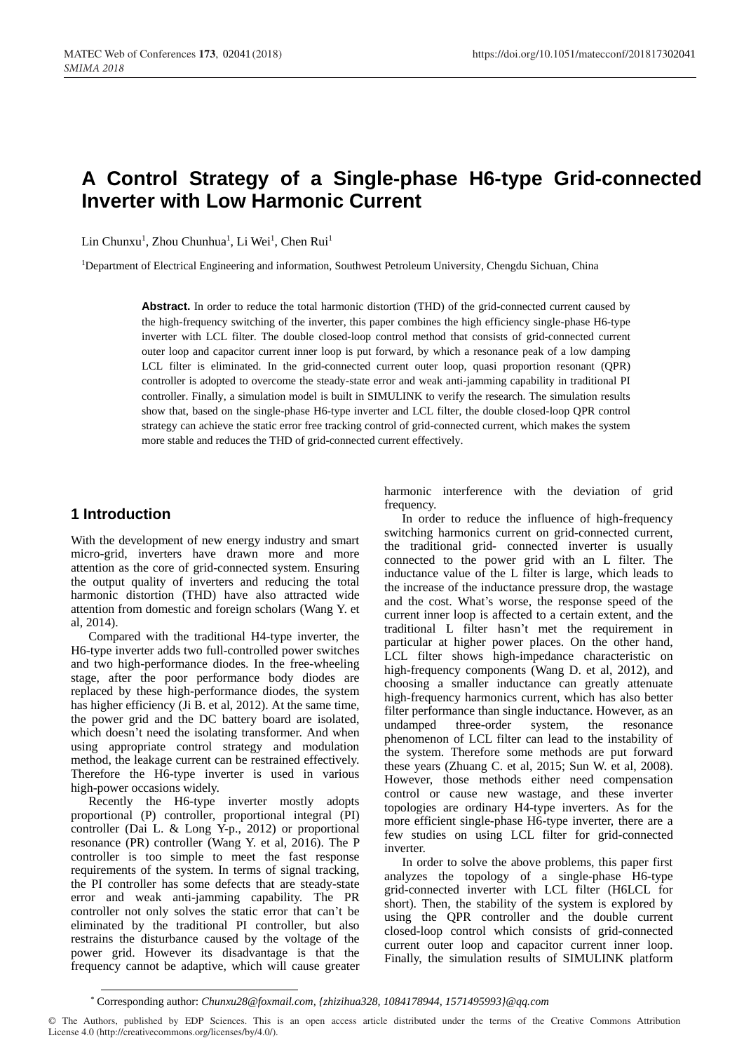# **A Control Strategy of a Single-phase H6-type Grid-connected Inverter with Low Harmonic Current**

Lin Chunxu<sup>1</sup>, Zhou Chunhua<sup>1</sup>, Li Wei<sup>1</sup>, Chen Rui<sup>1</sup>

<sup>1</sup>Department of Electrical Engineering and information, Southwest Petroleum University, Chengdu Sichuan, China

**Abstract.** In order to reduce the total harmonic distortion (THD) of the grid-connected current caused by the high-frequency switching of the inverter, this paper combines the high efficiency single-phase H6-type inverter with LCL filter. The double closed-loop control method that consists of grid-connected current outer loop and capacitor current inner loop is put forward, by which a resonance peak of a low damping LCL filter is eliminated. In the grid-connected current outer loop, quasi proportion resonant (QPR) controller is adopted to overcome the steady-state error and weak anti-jamming capability in traditional PI controller. Finally, a simulation model is built in SIMULINK to verify the research. The simulation results show that, based on the single-phase H6-type inverter and LCL filter, the double closed-loop QPR control strategy can achieve the static error free tracking control of grid-connected current, which makes the system more stable and reduces the THD of grid-connected current effectively.

### **1 Introduction**

With the development of new energy industry and smart micro-grid, inverters have drawn more and more attention as the core of grid-connected system. Ensuring the output quality of inverters and reducing the total harmonic distortion (THD) have also attracted wide attention from domestic and foreign scholars (Wang Y. et al, 2014).

Compared with the traditional H4-type inverter, the H6-type inverter adds two full-controlled power switches and two high-performance diodes. In the free-wheeling stage, after the poor performance body diodes are replaced by these high-performance diodes, the system has higher efficiency (Ji B. et al, 2012). At the same time, the power grid and the DC battery board are isolated, which doesn't need the isolating transformer. And when using appropriate control strategy and modulation method, the leakage current can be restrained effectively. Therefore the H6-type inverter is used in various high-power occasions widely.

Recently the H6-type inverter mostly adopts proportional (P) controller, proportional integral (PI) controller (Dai L. & Long Y-p., 2012) or proportional resonance (PR) controller (Wang Y. et al, 2016). The P controller is too simple to meet the fast response requirements of the system. In terms of signal tracking, the PI controller has some defects that are steady-state error and weak anti-jamming capability. The PR controller not only solves the static error that can't be eliminated by the traditional PI controller, but also restrains the disturbance caused by the voltage of the power grid. However its disadvantage is that the frequency cannot be adaptive, which will cause greater harmonic interference with the deviation of grid frequency.

In order to reduce the influence of high-frequency switching harmonics current on grid-connected current, the traditional grid- connected inverter is usually connected to the power grid with an L filter. The inductance value of the L filter is large, which leads to the increase of the inductance pressure drop, the wastage and the cost. What's worse, the response speed of the current inner loop is affected to a certain extent, and the traditional L filter hasn't met the requirement in particular at higher power places. On the other hand, LCL filter shows high-impedance characteristic on high-frequency components (Wang D. et al, 2012), and choosing a smaller inductance can greatly attenuate high-frequency harmonics current, which has also better filter performance than single inductance. However, as an undamped three-order system, the resonance phenomenon of LCL filter can lead to the instability of the system. Therefore some methods are put forward these years (Zhuang C. et al, 2015; Sun W. et al, 2008). However, those methods either need compensation control or cause new wastage, and these inverter topologies are ordinary H4-type inverters. As for the more efficient single-phase H6-type inverter, there are a few studies on using LCL filter for grid-connected inverter.

In order to solve the above problems, this paper first analyzes the topology of a single-phase H6-type grid-connected inverter with LCL filter (H6LCL for short). Then, the stability of the system is explored by using the QPR controller and the double current closed-loop control which consists of grid-connected current outer loop and capacitor current inner loop. Finally, the simulation results of SIMULINK platform

<sup>\*</sup> Corresponding author: *Chunxu28@foxmail.com, {zhizihua328, 1084178944, 1571495993}@qq.com*

<sup>©</sup> The Authors, published by EDP Sciences. This is an open access article distributed under the terms of the Creative Commons Attribution License 4.0 (http://creativecommons.org/licenses/by/4.0/).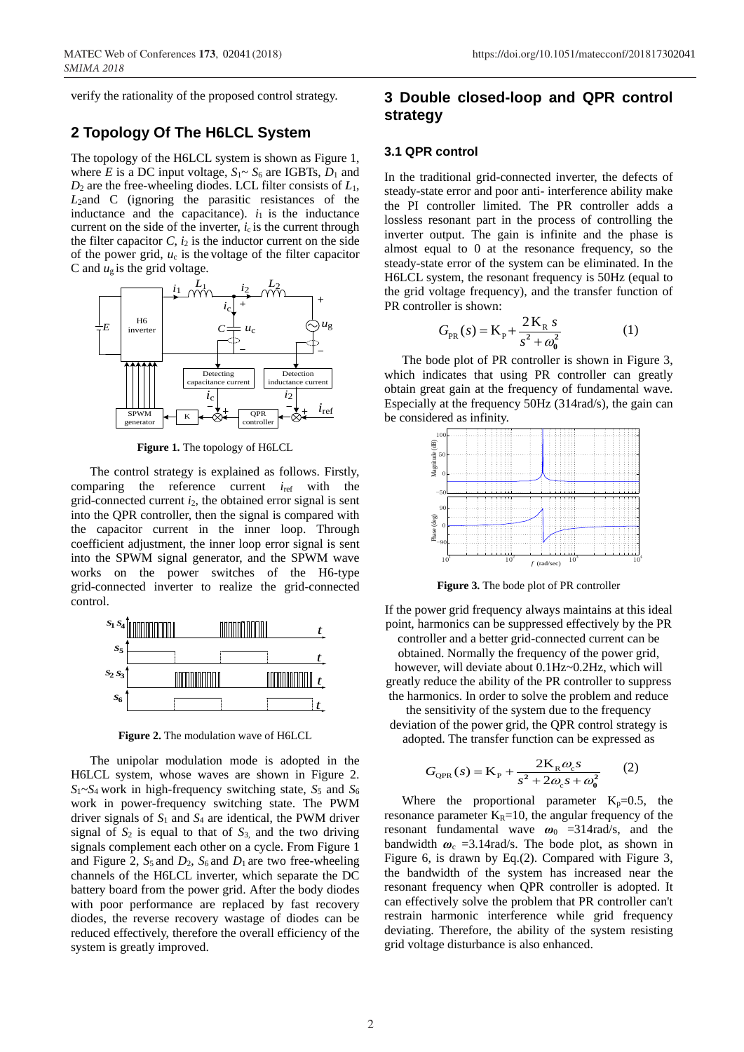verify the rationality of the proposed control strategy.

# **2 Topology Of The H6LCL System**

The topology of the H6LCL system is shown as Figure 1, where *E* is a DC input voltage,  $S_1 \sim S_6$  are IGBTs,  $D_1$  and *D*<sup>2</sup> are the free-wheeling diodes. LCL filter consists of *L*1, *L*2and C (ignoring the parasitic resistances of the inductance and the capacitance).  $i_1$  is the inductance current on the side of the inverter,  $i_c$  is the current through the filter capacitor  $C$ ,  $i_2$  is the inductor current on the side of the power grid,  $u_c$  is the voltage of the filter capacitor C and  $u_{\rm g}$  is the grid voltage.



**Figure 1.** The topology of H6LCL

The control strategy is explained as follows. Firstly, comparing the reference current  $i_{ref}$  with the grid-connected current  $i_2$ , the obtained error signal is sent into the QPR controller, then the signal is compared with the capacitor current in the inner loop. Through coefficient adjustment, the inner loop error signal is sent into the SPWM signal generator, and the SPWM wave works on the power switches of the H6-type grid-connected inverter to realize the grid-connected control.



**Figure 2.** The modulation wave of H6LCL

The unipolar modulation mode is adopted in the H6LCL system, whose waves are shown in Figure 2.  $S_1 \sim S_4$  work in high-frequency switching state,  $S_5$  and  $S_6$ work in power-frequency switching state. The PWM driver signals of *S*<sup>1</sup> and *S*<sup>4</sup> are identical, the PWM driver signal of  $S_2$  is equal to that of  $S_3$ , and the two driving signals complement each other on a cycle. From Figure 1 and Figure 2,  $S_5$  and  $D_2$ ,  $S_6$  and  $D_1$  are two free-wheeling channels of the H6LCL inverter, which separate the DC battery board from the power grid. After the body diodes with poor performance are replaced by fast recovery diodes, the reverse recovery wastage of diodes can be reduced effectively, therefore the overall efficiency of the system is greatly improved.

# **3 Double closed-loop and QPR control strategy**

#### **3.1 QPR control**

In the traditional grid-connected inverter, the defects of steady-state error and poor anti- interference ability make the PI controller limited. The PR controller adds a lossless resonant part in the process of controlling the inverter output. The gain is infinite and the phase is almost equal to 0 at the resonance frequency, so the steady-state error of the system can be eliminated. In the H6LCL system, the resonant frequency is 50Hz (equal to the grid voltage frequency), and the transfer function of PR controller is shown:

$$
G_{PR}(s) = K_{P} + \frac{2 K_{R} s}{s^{2} + \omega_{0}^{2}}
$$
 (1)

The bode plot of PR controller is shown in Figure 3, which indicates that using PR controller can greatly obtain great gain at the frequency of fundamental wave. Especially at the frequency 50Hz (314rad/s), the gain can be considered as infinity.



**Figure 3.** The bode plot of PR controller

If the power grid frequency always maintains at this ideal point, harmonics can be suppressed effectively by the PR controller and a better grid-connected current can be obtained. Normally the frequency of the power grid, however, will deviate about 0.1Hz~0.2Hz, which will greatly reduce the ability of the PR controller to suppress the harmonics. In order to solve the problem and reduce

the sensitivity of the system due to the frequency deviation of the power grid, the QPR control strategy is adopted. The transfer function can be expressed as

$$
G_{\text{QPR}}(s) = \mathbf{K}_{\text{P}} + \frac{2\mathbf{K}_{\text{R}}\omega_{\text{c}}s}{s^2 + 2\omega_{\text{c}}s + \omega_0^2}
$$
 (2)

Where the proportional parameter  $K_p=0.5$ , the resonance parameter  $K_R=10$ , the angular frequency of the resonant fundamental wave  $\omega_0$  =314rad/s, and the bandwidth  $\omega_c$  =3.14rad/s. The bode plot, as shown in Figure 6, is drawn by Eq.(2). Compared with Figure 3, the bandwidth of the system has increased near the resonant frequency when QPR controller is adopted. It can effectively solve the problem that PR controller can't restrain harmonic interference while grid frequency deviating. Therefore, the ability of the system resisting grid voltage disturbance is also enhanced.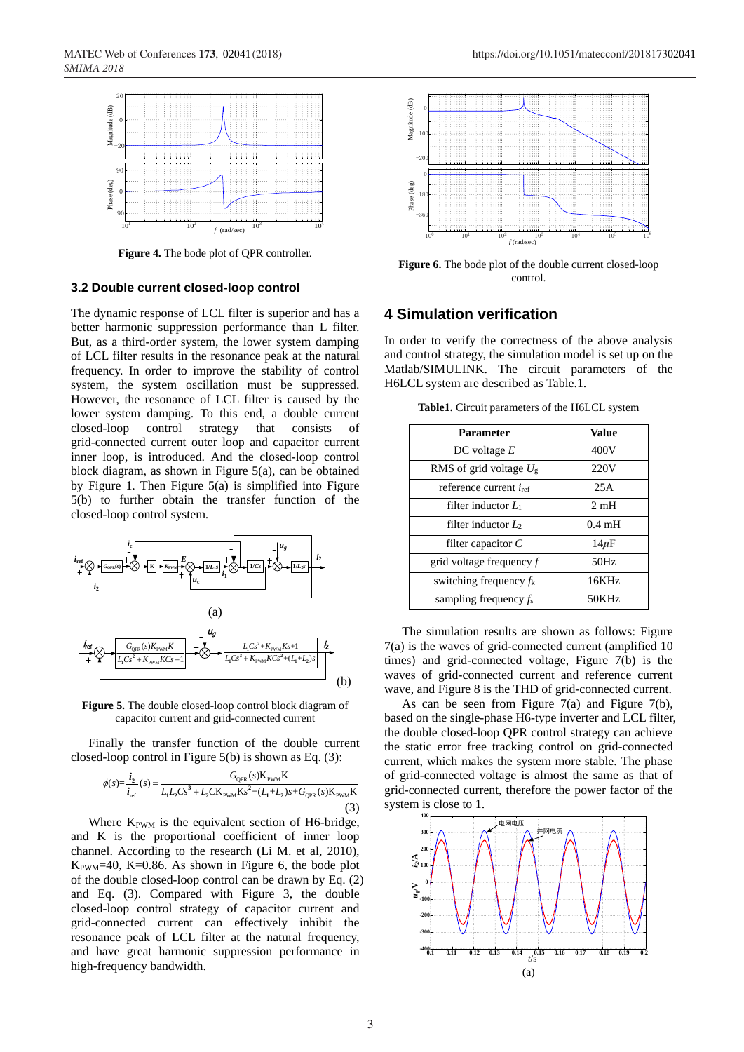

**Figure 4.** The bode plot of QPR controller.

#### **3.2 Double current closed-loop control**

The dynamic response of LCL filter is superior and has a better harmonic suppression performance than L filter. But, as a third-order system, the lower system damping of LCL filter results in the resonance peak at the natural frequency. In order to improve the stability of control system, the system oscillation must be suppressed. However, the resonance of LCL filter is caused by the lower system damping. To this end, a double current closed-loop control strategy that consists of grid-connected current outer loop and capacitor current inner loop, is introduced. And the closed-loop control block diagram, as shown in Figure 5(a), can be obtained by Figure 1. Then Figure 5(a) is simplified into Figure 5(b) to further obtain the transfer function of the closed-loop control system.



**Figure 5.** The double closed-loop control block diagram of capacitor current and grid-connected current

Finally the transfer function of the double current

Finally the transfer function of the double current closed-loop control in Figure 5(b) is shown as Eq. (3):

\n
$$
\phi(s) = \frac{i_2}{i_{\text{ref}}} (s) = \frac{G_{\text{QPR}}(s)K_{\text{PWM}}K}{L_1L_2Cs^3 + L_2CK_{\text{PWM}}Ks^2 + (L_1 + L_2)s + G_{\text{QPR}}(s)K_{\text{PWM}}K}
$$
\n(3)

Where  $K_{\text{PWM}}$  is the equivalent section of H6-bridge, and K is the proportional coefficient of inner loop channel. According to the research (Li M. et al, 2010),  $K_{\text{PWM}}=40$ ,  $K=0.86$ . As shown in Figure 6, the bode plot of the double closed-loop control can be drawn by Eq. (2) and Eq. (3). Compared with Figure 3, the double closed-loop control strategy of capacitor current and grid-connected current can effectively inhibit the resonance peak of LCL filter at the natural frequency, and have great harmonic suppression performance in high-frequency bandwidth.



**Figure 6.** The bode plot of the double current closed-loop control.

## **4 Simulation verification**

In order to verify the correctness of the above analysis and control strategy, the simulation model is set up on the Matlab/SIMULINK. The circuit parameters of the H6LCL system are described as Table.1.

| <b>Parameter</b>                | <b>Value</b>     |
|---------------------------------|------------------|
| DC voltage $E$                  | 400V             |
| RMS of grid voltage $U_{\rm g}$ | 220V             |
| reference current $i_{ref}$     | 25A              |
| filter inductor $L_1$           | 2mH              |
| filter inductor $L_2$           | $0.4 \text{ mH}$ |
| filter capacitor $C$            | $14\mu$ F        |
| grid voltage frequency f        | 50Hz             |
| switching frequency $f_k$       | 16KHz            |
| sampling frequency $f_s$        | 50KHz            |

**Table1.** Circuit parameters of the H6LCL system

The simulation results are shown as follows: Figure 7(a) is the waves of grid-connected current (amplified 10 times) and grid-connected voltage, Figure 7(b) is the waves of grid-connected current and reference current wave, and Figure 8 is the THD of grid-connected current.

As can be seen from Figure 7(a) and Figure 7(b), based on the single-phase H6-type inverter and LCL filter, the double closed-loop QPR control strategy can achieve the static error free tracking control on grid-connected current, which makes the system more stable. The phase of grid-connected voltage is almost the same as that of grid-connected current, therefore the power factor of the system is close to 1.